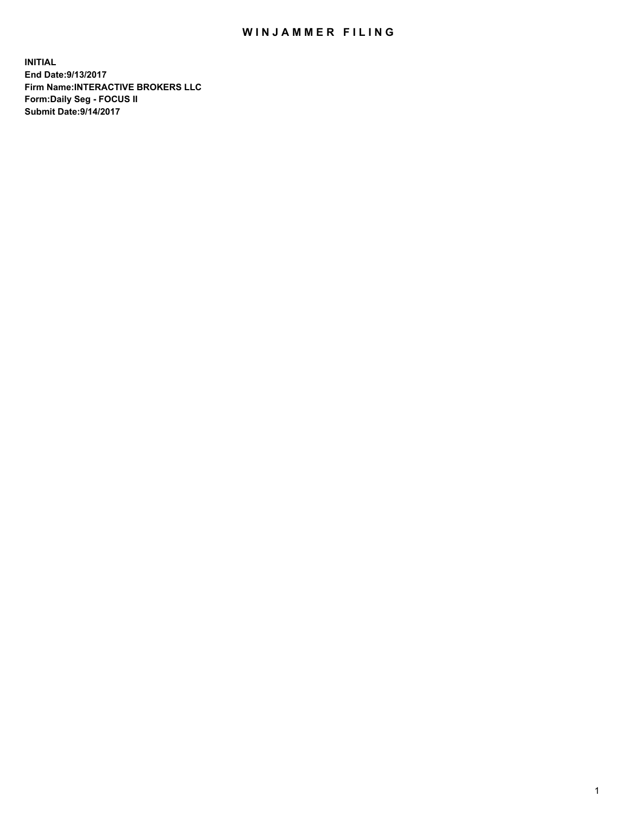## WIN JAMMER FILING

**INITIAL End Date:9/13/2017 Firm Name:INTERACTIVE BROKERS LLC Form:Daily Seg - FOCUS II Submit Date:9/14/2017**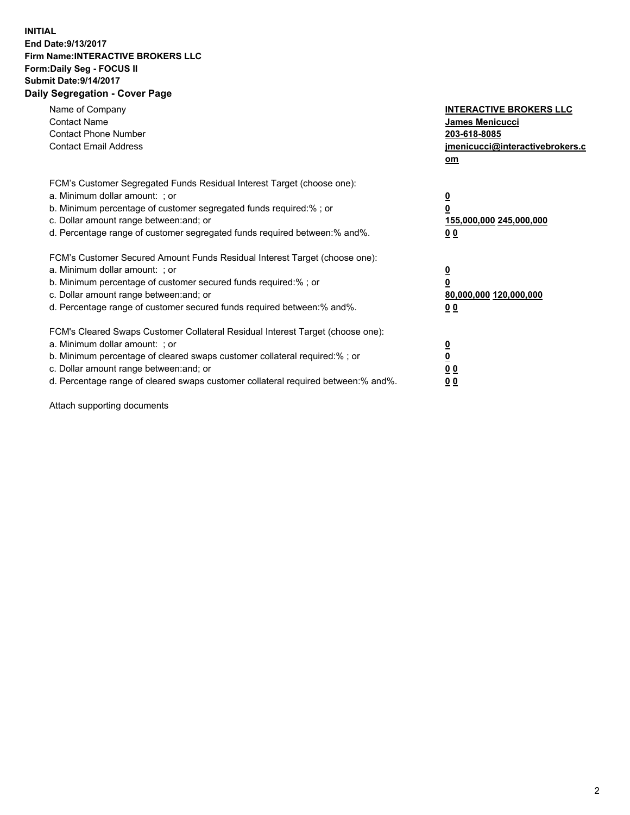## **INITIAL End Date:9/13/2017 Firm Name:INTERACTIVE BROKERS LLC Form:Daily Seg - FOCUS II Submit Date:9/14/2017 Daily Segregation - Cover Page**

| Name of Company<br><b>Contact Name</b><br><b>Contact Phone Number</b><br><b>Contact Email Address</b>                                                                                                                                                                                                                          | <b>INTERACTIVE BROKERS LLC</b><br>James Menicucci<br>203-618-8085<br>jmenicucci@interactivebrokers.c<br>om |
|--------------------------------------------------------------------------------------------------------------------------------------------------------------------------------------------------------------------------------------------------------------------------------------------------------------------------------|------------------------------------------------------------------------------------------------------------|
| FCM's Customer Segregated Funds Residual Interest Target (choose one):<br>a. Minimum dollar amount: ; or<br>b. Minimum percentage of customer segregated funds required:% ; or<br>c. Dollar amount range between: and; or<br>d. Percentage range of customer segregated funds required between: % and %.                       | $\overline{\mathbf{0}}$<br>0<br>155,000,000 245,000,000<br>00                                              |
| FCM's Customer Secured Amount Funds Residual Interest Target (choose one):<br>a. Minimum dollar amount: ; or<br>b. Minimum percentage of customer secured funds required:%; or<br>c. Dollar amount range between: and; or<br>d. Percentage range of customer secured funds required between:% and%.                            | $\overline{\mathbf{0}}$<br>0<br>80,000,000 120,000,000<br>0 <sub>0</sub>                                   |
| FCM's Cleared Swaps Customer Collateral Residual Interest Target (choose one):<br>a. Minimum dollar amount: ; or<br>b. Minimum percentage of cleared swaps customer collateral required:% ; or<br>c. Dollar amount range between: and; or<br>d. Percentage range of cleared swaps customer collateral required between:% and%. | $\overline{\mathbf{0}}$<br>$\underline{\mathbf{0}}$<br>0 <sub>0</sub><br>0 <sub>0</sub>                    |

Attach supporting documents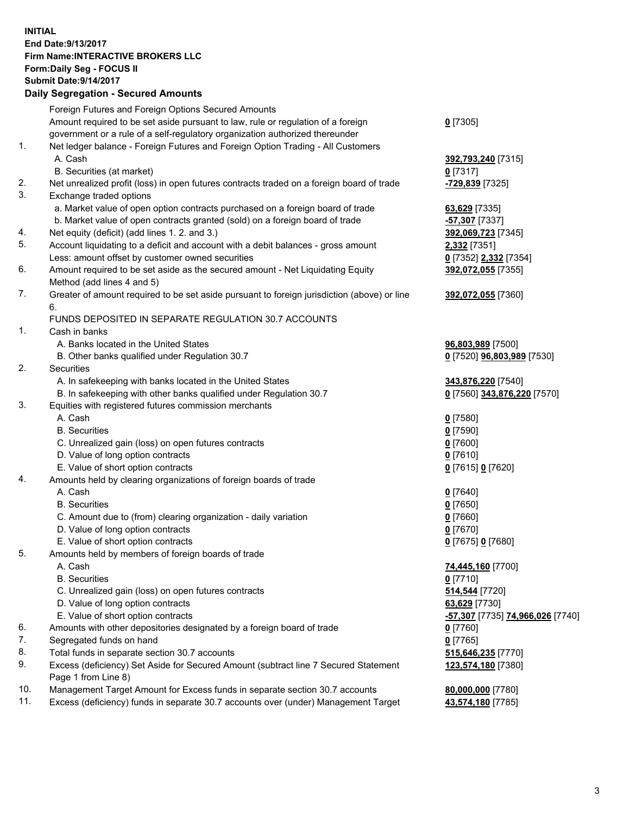## **INITIAL End Date:9/13/2017 Firm Name:INTERACTIVE BROKERS LLC Form:Daily Seg - FOCUS II Submit Date:9/14/2017 Daily Segregation - Secured Amounts**

|     | Dany Ocgregation - Oceanea Annoanta                                                                        |                                  |
|-----|------------------------------------------------------------------------------------------------------------|----------------------------------|
|     | Foreign Futures and Foreign Options Secured Amounts                                                        |                                  |
|     | Amount required to be set aside pursuant to law, rule or regulation of a foreign                           | $0$ [7305]                       |
|     | government or a rule of a self-regulatory organization authorized thereunder                               |                                  |
| 1.  | Net ledger balance - Foreign Futures and Foreign Option Trading - All Customers                            |                                  |
|     | A. Cash                                                                                                    | 392,793,240 [7315]               |
|     | B. Securities (at market)                                                                                  | 0 [7317]                         |
| 2.  | Net unrealized profit (loss) in open futures contracts traded on a foreign board of trade                  | <mark>-729,839</mark> [7325]     |
| 3.  | Exchange traded options                                                                                    |                                  |
|     | a. Market value of open option contracts purchased on a foreign board of trade                             | 63,629 [7335]                    |
|     | b. Market value of open contracts granted (sold) on a foreign board of trade                               | -57,307 [7337]                   |
| 4.  | Net equity (deficit) (add lines 1.2. and 3.)                                                               | 392,069,723 [7345]               |
| 5.  | Account liquidating to a deficit and account with a debit balances - gross amount                          | 2,332 [7351]                     |
|     | Less: amount offset by customer owned securities                                                           | 0 [7352] 2,332 [7354]            |
| 6.  | Amount required to be set aside as the secured amount - Net Liquidating Equity                             | 392,072,055 [7355]               |
|     | Method (add lines 4 and 5)                                                                                 |                                  |
| 7.  | Greater of amount required to be set aside pursuant to foreign jurisdiction (above) or line                | 392,072,055 [7360]               |
|     | 6.                                                                                                         |                                  |
|     | FUNDS DEPOSITED IN SEPARATE REGULATION 30.7 ACCOUNTS                                                       |                                  |
| 1.  | Cash in banks                                                                                              |                                  |
|     | A. Banks located in the United States                                                                      | 96,803,989 [7500]                |
|     | B. Other banks qualified under Regulation 30.7                                                             | 0 [7520] 96,803,989 [7530]       |
| 2.  | Securities                                                                                                 |                                  |
|     | A. In safekeeping with banks located in the United States                                                  | 343,876,220 [7540]               |
|     | B. In safekeeping with other banks qualified under Regulation 30.7                                         | 0 [7560] 343,876,220 [7570]      |
| 3.  | Equities with registered futures commission merchants                                                      |                                  |
|     | A. Cash                                                                                                    | $0$ [7580]                       |
|     | <b>B.</b> Securities                                                                                       | $0$ [7590]                       |
|     | C. Unrealized gain (loss) on open futures contracts                                                        | $0$ [7600]                       |
|     | D. Value of long option contracts                                                                          | $0$ [7610]                       |
|     | E. Value of short option contracts                                                                         | 0 [7615] 0 [7620]                |
| 4.  | Amounts held by clearing organizations of foreign boards of trade                                          |                                  |
|     | A. Cash                                                                                                    | $0$ [7640]                       |
|     | <b>B.</b> Securities                                                                                       | $0$ [7650]                       |
|     | C. Amount due to (from) clearing organization - daily variation                                            | $0$ [7660]                       |
|     | D. Value of long option contracts                                                                          | $0$ [7670]                       |
|     | E. Value of short option contracts                                                                         | 0 [7675] 0 [7680]                |
| 5.  | Amounts held by members of foreign boards of trade                                                         |                                  |
|     | A. Cash                                                                                                    | 74,445,160 [7700]                |
|     | <b>B.</b> Securities                                                                                       | $0$ [7710]                       |
|     | C. Unrealized gain (loss) on open futures contracts                                                        | 514,544 [7720]                   |
|     | D. Value of long option contracts                                                                          | 63,629 [7730]                    |
|     | E. Value of short option contracts                                                                         | -57,307 [7735] 74,966,026 [7740] |
| 6.  | Amounts with other depositories designated by a foreign board of trade                                     | $0$ [7760]                       |
| 7.  | Segregated funds on hand                                                                                   | $0$ [7765]                       |
| 8.  | Total funds in separate section 30.7 accounts                                                              | 515,646,235 [7770]               |
| 9.  | Excess (deficiency) Set Aside for Secured Amount (subtract line 7 Secured Statement<br>Page 1 from Line 8) | 123,574,180 [7380]               |
| 10. | Management Target Amount for Excess funds in separate section 30.7 accounts                                | 80,000,000 [7780]                |
| 11. | Excess (deficiency) funds in separate 30.7 accounts over (under) Management Target                         | 43,574,180 [7785]                |
|     |                                                                                                            |                                  |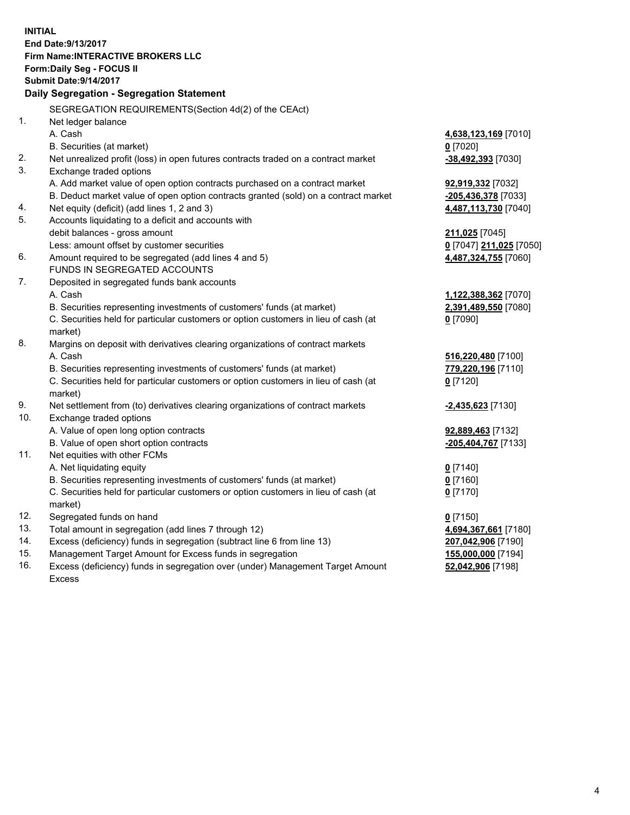**INITIAL End Date:9/13/2017 Firm Name:INTERACTIVE BROKERS LLC Form:Daily Seg - FOCUS II Submit Date:9/14/2017 Daily Segregation - Segregation Statement** SEGREGATION REQUIREMENTS(Section 4d(2) of the CEAct) 1. Net ledger balance A. Cash **4,638,123,169** [7010] B. Securities (at market) **0** [7020] 2. Net unrealized profit (loss) in open futures contracts traded on a contract market **-38,492,393** [7030] 3. Exchange traded options A. Add market value of open option contracts purchased on a contract market **92,919,332** [7032] B. Deduct market value of open option contracts granted (sold) on a contract market **-205,436,378** [7033] 4. Net equity (deficit) (add lines 1, 2 and 3) **4,487,113,730** [7040] 5. Accounts liquidating to a deficit and accounts with debit balances - gross amount **211,025** [7045] Less: amount offset by customer securities **0** [7047] **211,025** [7050] 6. Amount required to be segregated (add lines 4 and 5) **4,487,324,755** [7060] FUNDS IN SEGREGATED ACCOUNTS 7. Deposited in segregated funds bank accounts A. Cash **1,122,388,362** [7070] B. Securities representing investments of customers' funds (at market) **2,391,489,550** [7080] C. Securities held for particular customers or option customers in lieu of cash (at market) **0** [7090] 8. Margins on deposit with derivatives clearing organizations of contract markets A. Cash **516,220,480** [7100] B. Securities representing investments of customers' funds (at market) **779,220,196** [7110] C. Securities held for particular customers or option customers in lieu of cash (at market) **0** [7120] 9. Net settlement from (to) derivatives clearing organizations of contract markets **-2,435,623** [7130] 10. Exchange traded options A. Value of open long option contracts **92,889,463** [7132] B. Value of open short option contracts **-205,404,767** [7133] 11. Net equities with other FCMs A. Net liquidating equity **0** [7140] B. Securities representing investments of customers' funds (at market) **0** [7160] C. Securities held for particular customers or option customers in lieu of cash (at market) **0** [7170] 12. Segregated funds on hand **0** [7150] 13. Total amount in segregation (add lines 7 through 12) **4,694,367,661** [7180] 14. Excess (deficiency) funds in segregation (subtract line 6 from line 13) **207,042,906** [7190] 15. Management Target Amount for Excess funds in segregation **155,000,000** [7194]

16. Excess (deficiency) funds in segregation over (under) Management Target Amount Excess

**52,042,906** [7198]